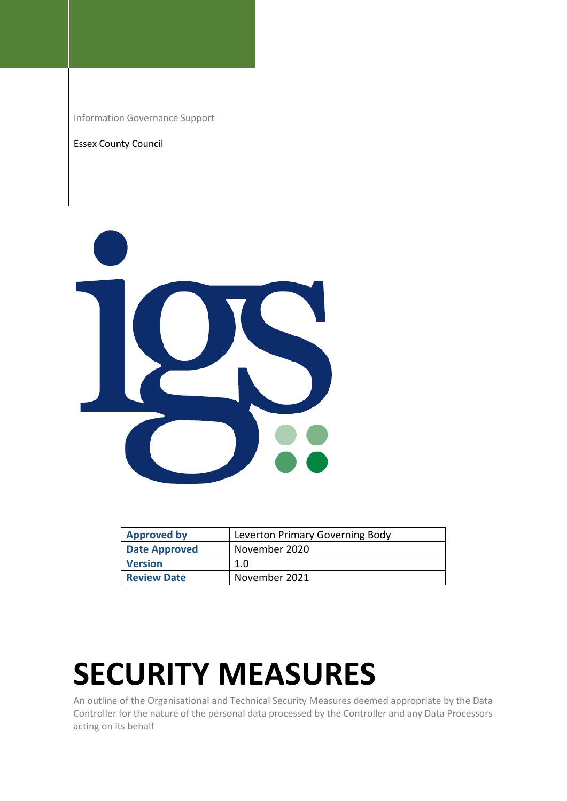Information Governance Support

## Essex County Council



| <b>Approved by</b>   | Leverton Primary Governing Body |
|----------------------|---------------------------------|
| <b>Date Approved</b> | November 2020                   |
| <b>Version</b>       | 1.0                             |
| <b>Review Date</b>   | November 2021                   |

## **SECURITY MEASURES**

An outline of the Organisational and Technical Security Measures deemed appropriate by the Data Controller for the nature of the personal data processed by the Controller and any Data Processors acting on its behalf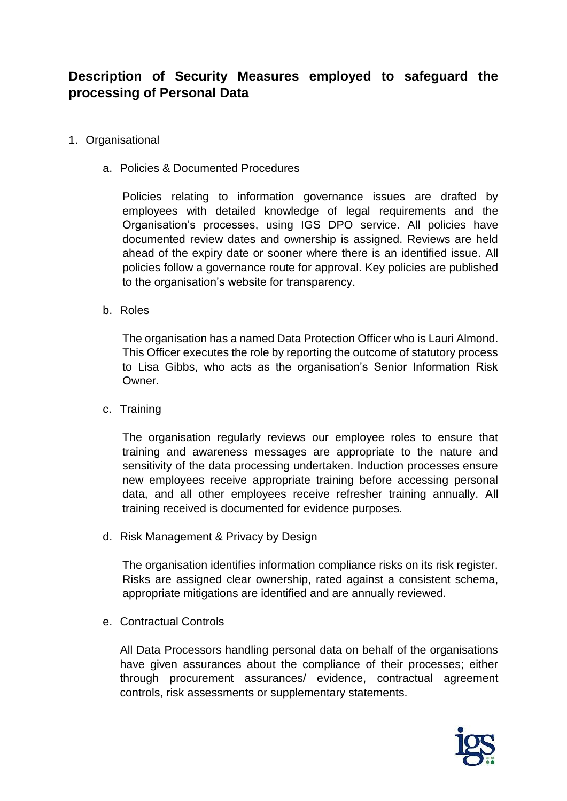## **Description of Security Measures employed to safeguard the processing of Personal Data**

- 1. Organisational
	- a. Policies & Documented Procedures

Policies relating to information governance issues are drafted by employees with detailed knowledge of legal requirements and the Organisation's processes, using IGS DPO service. All policies have documented review dates and ownership is assigned. Reviews are held ahead of the expiry date or sooner where there is an identified issue. All policies follow a governance route for approval. Key policies are published to the organisation's website for transparency.

b. Roles

The organisation has a named Data Protection Officer who is Lauri Almond. This Officer executes the role by reporting the outcome of statutory process to Lisa Gibbs, who acts as the organisation's Senior Information Risk **Owner** 

c. Training

The organisation regularly reviews our employee roles to ensure that training and awareness messages are appropriate to the nature and sensitivity of the data processing undertaken. Induction processes ensure new employees receive appropriate training before accessing personal data, and all other employees receive refresher training annually. All training received is documented for evidence purposes.

d. Risk Management & Privacy by Design

The organisation identifies information compliance risks on its risk register. Risks are assigned clear ownership, rated against a consistent schema, appropriate mitigations are identified and are annually reviewed.

e. Contractual Controls

All Data Processors handling personal data on behalf of the organisations have given assurances about the compliance of their processes; either through procurement assurances/ evidence, contractual agreement controls, risk assessments or supplementary statements.

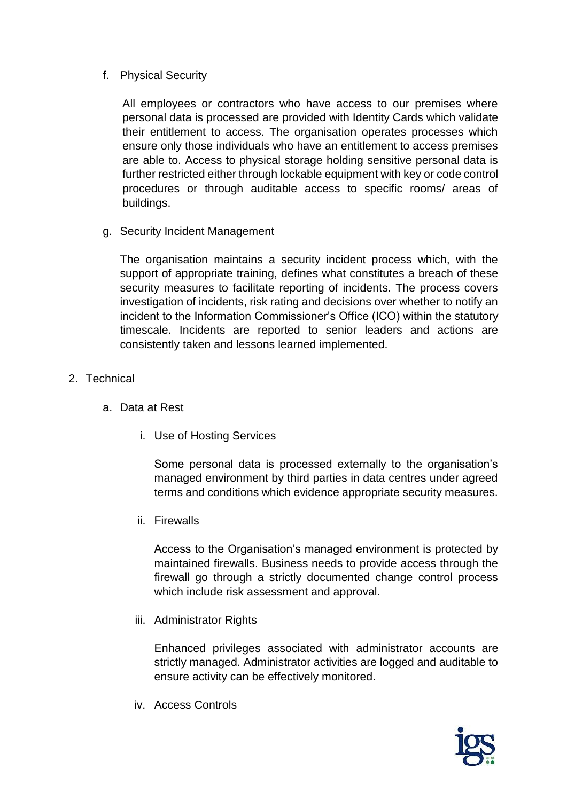## f. Physical Security

All employees or contractors who have access to our premises where personal data is processed are provided with Identity Cards which validate their entitlement to access. The organisation operates processes which ensure only those individuals who have an entitlement to access premises are able to. Access to physical storage holding sensitive personal data is further restricted either through lockable equipment with key or code control procedures or through auditable access to specific rooms/ areas of buildings.

g. Security Incident Management

The organisation maintains a security incident process which, with the support of appropriate training, defines what constitutes a breach of these security measures to facilitate reporting of incidents. The process covers investigation of incidents, risk rating and decisions over whether to notify an incident to the Information Commissioner's Office (ICO) within the statutory timescale. Incidents are reported to senior leaders and actions are consistently taken and lessons learned implemented.

- 2. Technical
	- a. Data at Rest
		- i. Use of Hosting Services

Some personal data is processed externally to the organisation's managed environment by third parties in data centres under agreed terms and conditions which evidence appropriate security measures.

ii. Firewalls

Access to the Organisation's managed environment is protected by maintained firewalls. Business needs to provide access through the firewall go through a strictly documented change control process which include risk assessment and approval.

iii. Administrator Rights

Enhanced privileges associated with administrator accounts are strictly managed. Administrator activities are logged and auditable to ensure activity can be effectively monitored.

iv. Access Controls

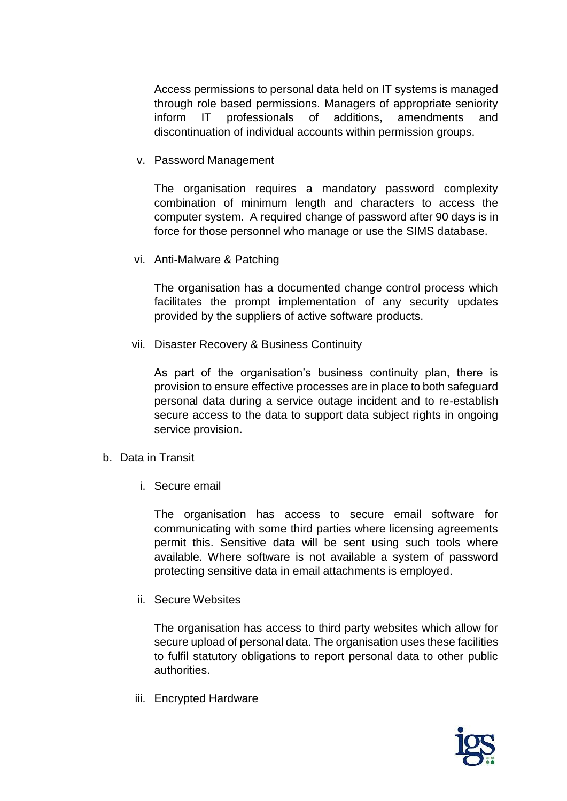Access permissions to personal data held on IT systems is managed through role based permissions. Managers of appropriate seniority inform IT professionals of additions, amendments and discontinuation of individual accounts within permission groups.

v. Password Management

The organisation requires a mandatory password complexity combination of minimum length and characters to access the computer system. A required change of password after 90 days is in force for those personnel who manage or use the SIMS database.

vi. Anti-Malware & Patching

The organisation has a documented change control process which facilitates the prompt implementation of any security updates provided by the suppliers of active software products.

vii. Disaster Recovery & Business Continuity

As part of the organisation's business continuity plan, there is provision to ensure effective processes are in place to both safeguard personal data during a service outage incident and to re-establish secure access to the data to support data subject rights in ongoing service provision.

- b. Data in Transit
	- i. Secure email

The organisation has access to secure email software for communicating with some third parties where licensing agreements permit this. Sensitive data will be sent using such tools where available. Where software is not available a system of password protecting sensitive data in email attachments is employed.

ii. Secure Websites

The organisation has access to third party websites which allow for secure upload of personal data. The organisation uses these facilities to fulfil statutory obligations to report personal data to other public authorities.

iii. Encrypted Hardware